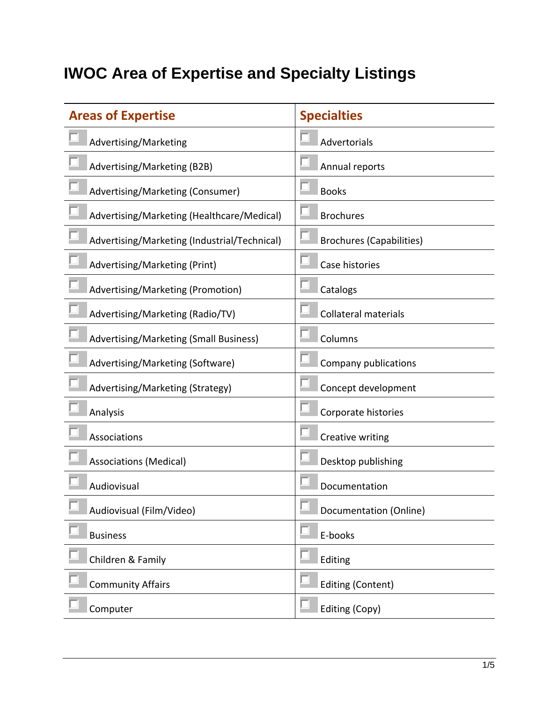## **IWOC Area of Expertise and Specialty Listings**

| <b>Areas of Expertise</b>                    | <b>Specialties</b>              |
|----------------------------------------------|---------------------------------|
| Advertising/Marketing                        | Advertorials                    |
| Advertising/Marketing (B2B)                  | Annual reports                  |
| Advertising/Marketing (Consumer)             | <b>Books</b>                    |
| Advertising/Marketing (Healthcare/Medical)   | <b>Brochures</b>                |
| Advertising/Marketing (Industrial/Technical) | <b>Brochures (Capabilities)</b> |
| Advertising/Marketing (Print)                | Case histories                  |
| Advertising/Marketing (Promotion)            | Catalogs                        |
| Advertising/Marketing (Radio/TV)             | <b>Collateral materials</b>     |
| Advertising/Marketing (Small Business)       | Columns                         |
| Advertising/Marketing (Software)             | Company publications            |
| Advertising/Marketing (Strategy)             | Concept development             |
| Analysis                                     | Corporate histories             |
| Associations                                 | Creative writing                |
| <b>Associations (Medical)</b>                | Desktop publishing              |
| Audiovisual                                  | Documentation                   |
| Audiovisual (Film/Video)                     | Documentation (Online)          |
| <b>Business</b>                              | E-books                         |
| Children & Family                            | Editing                         |
| <b>Community Affairs</b>                     | <b>Editing (Content)</b>        |
| Computer                                     | Editing (Copy)                  |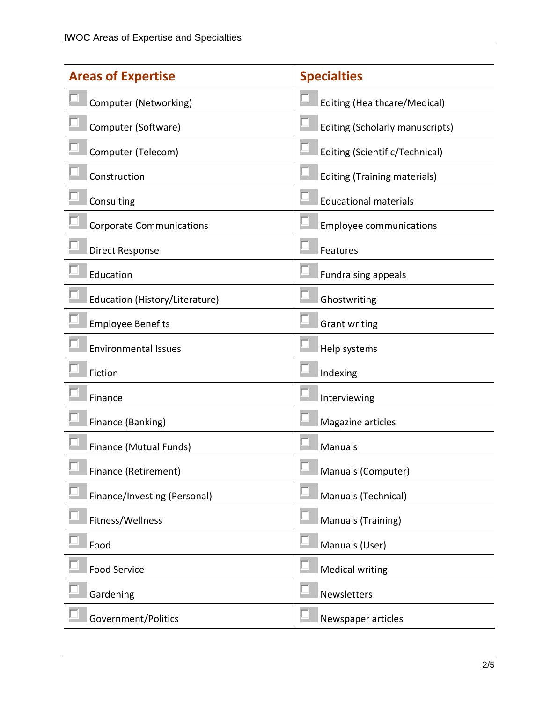| <b>Areas of Expertise</b>       | <b>Specialties</b>                  |
|---------------------------------|-------------------------------------|
| Computer (Networking)           | Editing (Healthcare/Medical)        |
| Computer (Software)             | Editing (Scholarly manuscripts)     |
| Computer (Telecom)              | Editing (Scientific/Technical)      |
| Construction                    | <b>Editing (Training materials)</b> |
| Consulting                      | <b>Educational materials</b>        |
| <b>Corporate Communications</b> | <b>Employee communications</b>      |
| <b>Direct Response</b>          | Features                            |
| Education                       | <b>Fundraising appeals</b>          |
| Education (History/Literature)  | Ghostwriting                        |
| <b>Employee Benefits</b>        | <b>Grant writing</b>                |
| <b>Environmental Issues</b>     | Help systems                        |
| Fiction                         | Indexing                            |
| Finance                         | Interviewing                        |
| Finance (Banking)               | Magazine articles                   |
| Finance (Mutual Funds)          | Manuals                             |
| Finance (Retirement)            | Manuals (Computer)                  |
| Finance/Investing (Personal)    | Manuals (Technical)                 |
| Fitness/Wellness                | Manuals (Training)                  |
| Food                            | Manuals (User)                      |
| <b>Food Service</b>             | <b>Medical writing</b>              |
| Gardening                       | <b>Newsletters</b>                  |
| Government/Politics             | Newspaper articles                  |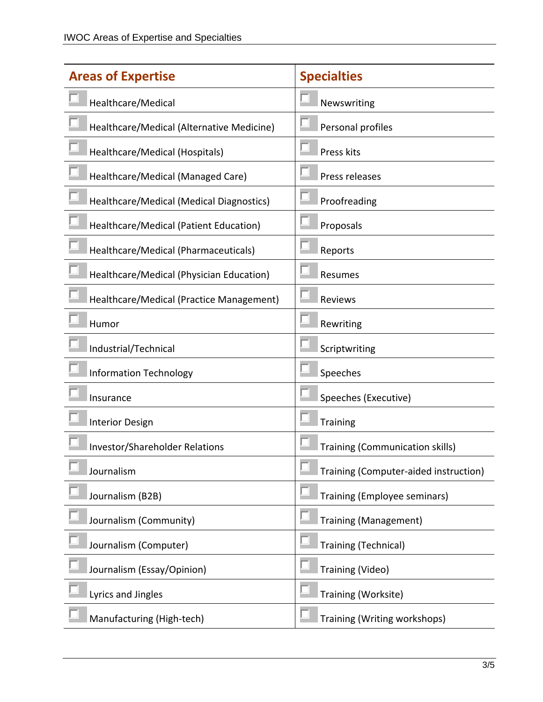| <b>Areas of Expertise</b>                 | <b>Specialties</b>                     |
|-------------------------------------------|----------------------------------------|
| Healthcare/Medical                        | Newswriting                            |
| Healthcare/Medical (Alternative Medicine) | Personal profiles                      |
| Healthcare/Medical (Hospitals)            | Press kits                             |
| Healthcare/Medical (Managed Care)         | Press releases                         |
| Healthcare/Medical (Medical Diagnostics)  | Proofreading                           |
| Healthcare/Medical (Patient Education)    | Proposals                              |
| Healthcare/Medical (Pharmaceuticals)      | Reports                                |
| Healthcare/Medical (Physician Education)  | Resumes                                |
| Healthcare/Medical (Practice Management)  | Reviews                                |
| Humor                                     | Rewriting                              |
| Industrial/Technical                      | Scriptwriting                          |
| <b>Information Technology</b>             | Speeches                               |
| Insurance                                 | Speeches (Executive)                   |
| <b>Interior Design</b>                    | <b>Training</b>                        |
| <b>Investor/Shareholder Relations</b>     | <b>Training (Communication skills)</b> |
| Journalism                                | Training (Computer-aided instruction)  |
| Journalism (B2B)                          | Training (Employee seminars)           |
| Journalism (Community)                    | <b>Training (Management)</b>           |
| Journalism (Computer)                     | <b>Training (Technical)</b>            |
| Journalism (Essay/Opinion)                | Training (Video)                       |
| Lyrics and Jingles                        | Training (Worksite)                    |
| Manufacturing (High-tech)                 | Training (Writing workshops)           |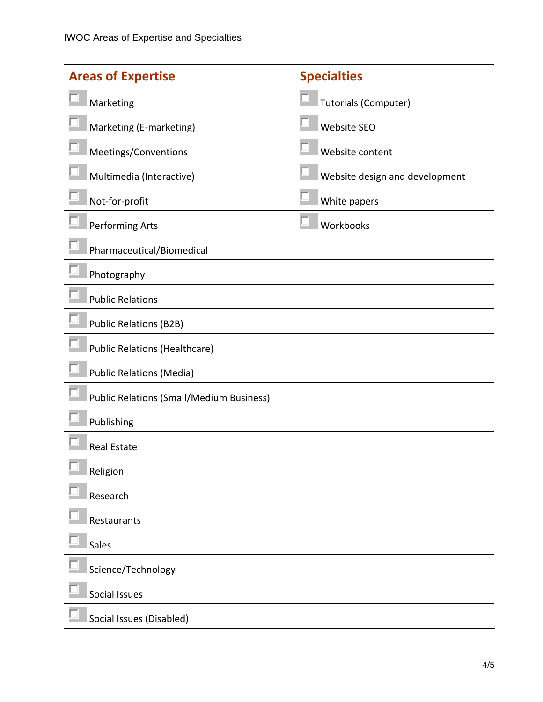| <b>Areas of Expertise</b>                       | <b>Specialties</b>             |
|-------------------------------------------------|--------------------------------|
| Marketing                                       | <b>Tutorials (Computer)</b>    |
| Marketing (E-marketing)                         | <b>Website SEO</b>             |
| Meetings/Conventions                            | Website content                |
| Multimedia (Interactive)                        | Website design and development |
| Not-for-profit                                  | White papers                   |
| Performing Arts                                 | Workbooks                      |
| Pharmaceutical/Biomedical                       |                                |
| Photography                                     |                                |
| <b>Public Relations</b>                         |                                |
| <b>Public Relations (B2B)</b>                   |                                |
| <b>Public Relations (Healthcare)</b>            |                                |
| <b>Public Relations (Media)</b>                 |                                |
| <b>Public Relations (Small/Medium Business)</b> |                                |
| Publishing                                      |                                |
| <b>Real Estate</b>                              |                                |
| Religion                                        |                                |
| Research                                        |                                |
| Restaurants                                     |                                |
| Sales                                           |                                |
| Science/Technology                              |                                |
| Social Issues                                   |                                |
| Social Issues (Disabled)                        |                                |